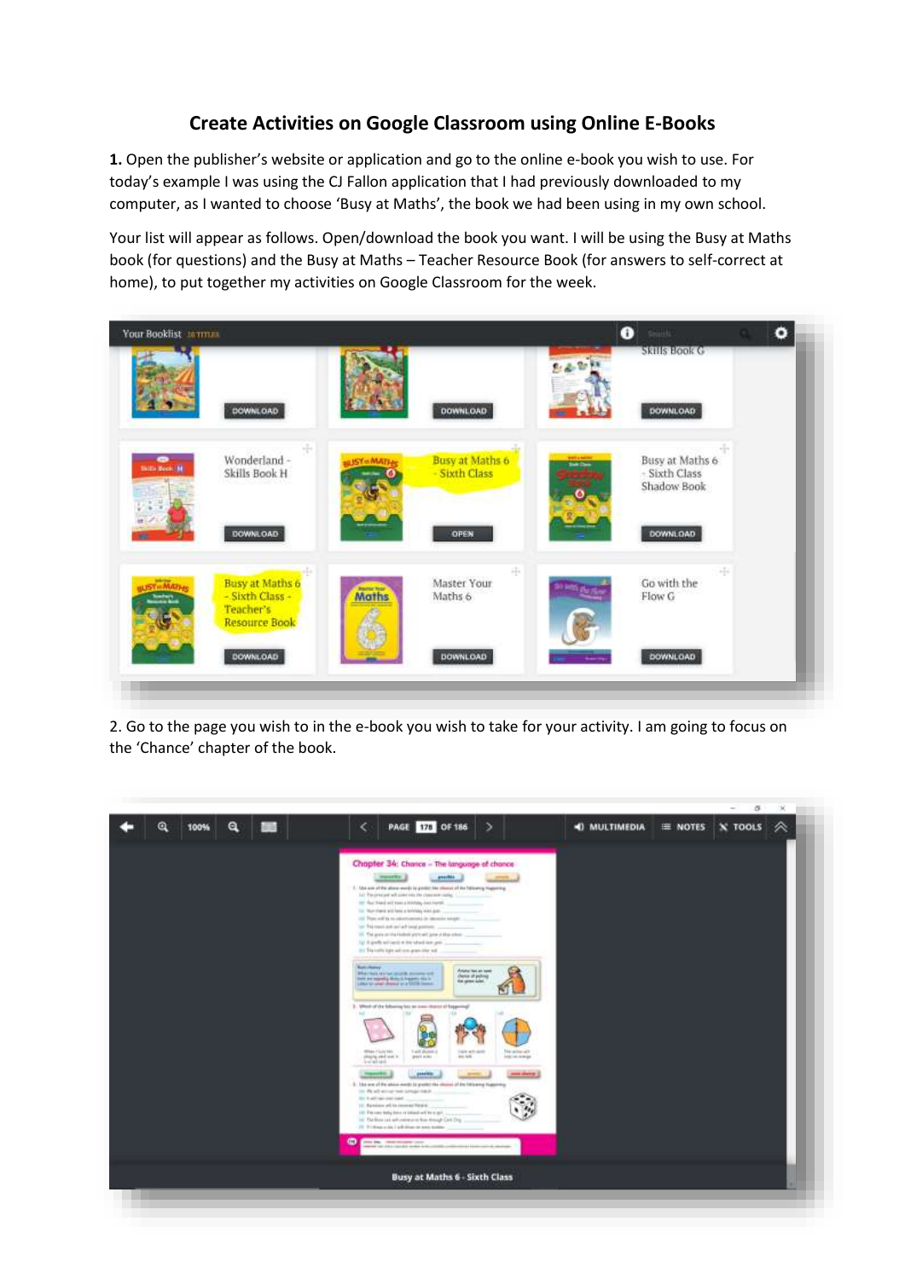## **Create Activities on Google Classroom using Online E-Books**

**1.** Open the publisher's website or application and go to the online e-book you wish to use. For today's example I was using the CJ Fallon application that I had previously downloaded to my computer, as I wanted to choose 'Busy at Maths', the book we had been using in my own school.

Your list will appear as follows. Open/download the book you want. I will be using the Busy at Maths book (for questions) and the Busy at Maths – Teacher Resource Book (for answers to self-correct at home), to put together my activities on Google Classroom for the week.



2. Go to the page you wish to in the e-book you wish to take for your activity. I am going to focus on the 'Chance' chapter of the book.

|                     |                                                                                                                                                                                                                                                                                                                                                                                                                                                                                                                                                                                                                                                                                                                                                                                                                                                                                                                                                                                                                                                                                                                                                                                                                                                |                      |         | $\sigma$ | × |
|---------------------|------------------------------------------------------------------------------------------------------------------------------------------------------------------------------------------------------------------------------------------------------------------------------------------------------------------------------------------------------------------------------------------------------------------------------------------------------------------------------------------------------------------------------------------------------------------------------------------------------------------------------------------------------------------------------------------------------------------------------------------------------------------------------------------------------------------------------------------------------------------------------------------------------------------------------------------------------------------------------------------------------------------------------------------------------------------------------------------------------------------------------------------------------------------------------------------------------------------------------------------------|----------------------|---------|----------|---|
| Q<br>Q<br>100%<br>m | PAGE 170 OF 186<br>$\overline{\phantom{a}}$<br>э                                                                                                                                                                                                                                                                                                                                                                                                                                                                                                                                                                                                                                                                                                                                                                                                                                                                                                                                                                                                                                                                                                                                                                                               | <b>41 MULTIMEDIA</b> | E NOTES | X TOOLS  | ∞ |
|                     | Chapter 34: Chance - The language of chance<br><b>Herefilm</b><br>prediti.<br>5. She are of the shore work by projective shores of the following higgering.<br>Tell The private will about the channels radial.<br>137 Real Road will been a RAABby Feet Horse,<br>LL Mar Hard will land a brivish, wind doll<br>Let The translate period land politics.<br>(I) The gran on the Federal photographs of Most when<br>147 A goodly will send at this tuberd lack gets<br>(b) Travello light all one gran like sub-<br><b>Russia changer</b><br>Anyta he an eee<br>Washington and States<br>chemic of policies<br>them are expectly that in Frances Co. In<br>Little to use of change or a USD Conner<br>3. Which of the following fact an own identity of Engerting?<br><b>STAN TILM FAL</b><br>T-405 Bulank-A<br>Lake with courts<br>This serious self.<br>pleasing and seat in<br>profit sules:<br>an un<br>lease on armigal<br>$-0.00144$<br>position.<br><b><i><u>Internation</u></i></b><br><b>CONTRACTOR</b><br>$\frac{1}{2}$<br>2. Ani-lea of the above wents to provint the channel of the hittening higgering.<br>this 4-advance contracts<br>11. Terraison will be recover thrown<br>145 The case holes have at interdirect here gain. |                      |         |          |   |
|                     | (ii) The River can unit continue to River Armsph Card (Day<br>21 010 months in published and parts dealers.<br>$\bullet$<br>dillo Dia. Characterization colored<br>went on this cause below when the policy site of the size of moves                                                                                                                                                                                                                                                                                                                                                                                                                                                                                                                                                                                                                                                                                                                                                                                                                                                                                                                                                                                                          |                      |         |          |   |
|                     | <b>Busy at Maths 6 - Sixth Class</b>                                                                                                                                                                                                                                                                                                                                                                                                                                                                                                                                                                                                                                                                                                                                                                                                                                                                                                                                                                                                                                                                                                                                                                                                           |                      |         |          |   |
|                     |                                                                                                                                                                                                                                                                                                                                                                                                                                                                                                                                                                                                                                                                                                                                                                                                                                                                                                                                                                                                                                                                                                                                                                                                                                                |                      |         |          |   |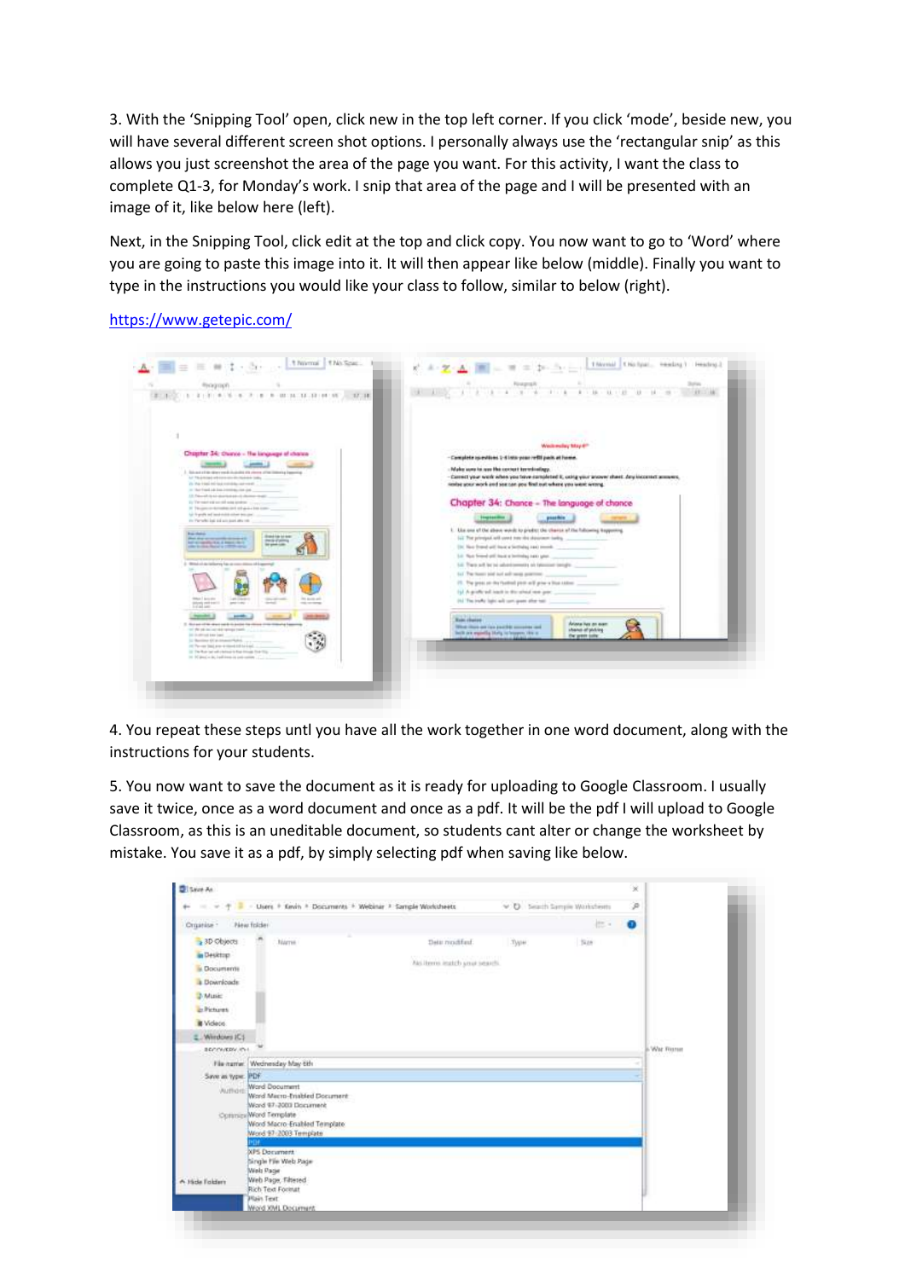3. With the 'Snipping Tool' open, click new in the top left corner. If you click 'mode', beside new, you will have several different screen shot options. I personally always use the 'rectangular snip' as this allows you just screenshot the area of the page you want. For this activity, I want the class to complete Q1-3, for Monday's work. I snip that area of the page and I will be presented with an image of it, like below here (left).

Next, in the Snipping Tool, click edit at the top and click copy. You now want to go to 'Word' where you are going to paste this image into it. It will then appear like below (middle). Finally you want to type in the instructions you would like your class to follow, similar to below (right).

<https://www.getepic.com/>

|                                                                                                                                             | Wednesday May 4th                                                                                                                       |
|---------------------------------------------------------------------------------------------------------------------------------------------|-----------------------------------------------------------------------------------------------------------------------------------------|
| Chapter 34; Clusos - The language of chance                                                                                                 | - Complete specificat 1-4 lata year reftil pain at home.                                                                                |
|                                                                                                                                             | Make were to nee the context terminalizer.                                                                                              |
| 3. School of the direct ends in dealer all years of he interior is become a<br>And The print and with extra state discriminate to the print | - Connect your work when you tayye considered it, using your proven sheet, pay incornect announce,                                      |
| (b) the trial intrinsic consideration of<br>or that from Lide Los Joseph Boulett Lide                                                       | sentee your work and you can go a find out where you went wrong.                                                                        |
| 12. Fair-all is an increase and desire many.<br>To The regard and succeed suita involver collection                                         | Chapter 34: Chance - The language of chance                                                                                             |
| If Thousan in Arrestor and others also com-<br>lui li grafia nel mod-stata coloni interali                                                  |                                                                                                                                         |
| the Partial Red and anti-asset after red                                                                                                    | <b>Thephonetics</b><br>passible                                                                                                         |
| <b>Business Andrews</b><br><b>Stand for bit both</b><br>that the comments stressed                                                          | 1. Use one of the above words to product the chance of the following leaguesting.<br>LL The principal will used not the shineseen being |
| <b>PAS CARS</b><br>but a reporter top a beauty days.<br>lad game code<br>alle in dealer Records (1979-484)                                  | The New Young will have a Sections rank investiga-                                                                                      |
|                                                                                                                                             | Lit. Not friend still look a britisha nati year.                                                                                        |
| Mitted of the latitudness from an extent distance of 5 approved                                                                             | Lit. There will be be advertisements an interested temple.                                                                              |
|                                                                                                                                             |                                                                                                                                         |
|                                                                                                                                             | (y) A grafic solicitation the select was part.                                                                                          |
| <b>Million &amp; Automatics</b><br><b>THE AVENUE AND</b><br><b>POSTER</b><br>paintings.<br><b>COLORADO</b>                                  | (b) The trade light will cart good after ball                                                                                           |
|                                                                                                                                             |                                                                                                                                         |
| 2. As a pain of the street sum by the parties from others of the children's a funer<br>on the six-inclusives and restorate tracks.          | <b>Robin change</b><br>Ariana iva an ear<br>What illustrate (an Excited concerned and                                                   |
| 241 Outfitted her last 1.1.1<br>11 Barriott Olivi Heavill Robin                                                                             | shand of picking<br>both are equally they to busen the a-<br>the press sale.                                                            |
| (4) Two say limit area without its horses).                                                                                                 |                                                                                                                                         |

4. You repeat these steps untl you have all the work together in one word document, along with the instructions for your students.

5. You now want to save the document as it is ready for uploading to Google Classroom. I usually save it twice, once as a word document and once as a pdf. It will be the pdf I will upload to Google Classroom, as this is an uneditable document, so students cant alter or change the worksheet by mistake. You save it as a pdf, by simply selecting pdf when saving like below.

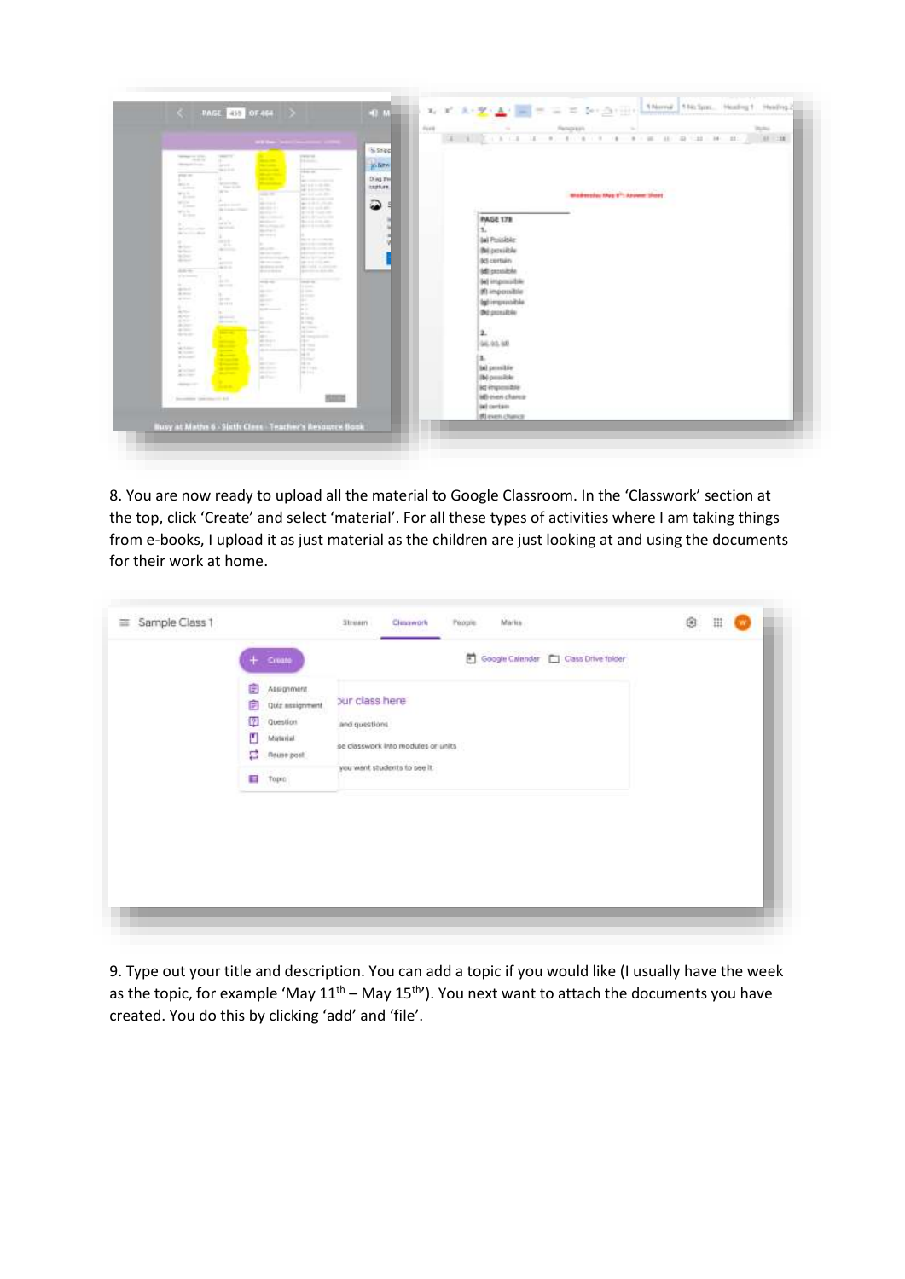

8. You are now ready to upload all the material to Google Classroom. In the 'Classwork' section at the top, click 'Create' and select 'material'. For all these types of activities where I am taking things from e-books, I upload it as just material as the children are just looking at and using the documents for their work at home.

| Create                                                                                                 | Google Calendar   Class Drive folder<br>固<br>아직 남자들은 뒤집을 바라고 있다.                                                                            |  |
|--------------------------------------------------------------------------------------------------------|---------------------------------------------------------------------------------------------------------------------------------------------|--|
| G<br>Assignment.<br>Quiz assignment<br>Ħ<br>ø<br>Question<br>۴<br>Midwrial<br>롣<br>Reuse post<br>Topic | bur class here<br>and questions.<br>se classwork into modules or units<br>you want students to see it.<br><u> 1999 - 1999 - 1999 - 1999</u> |  |
|                                                                                                        |                                                                                                                                             |  |

9. Type out your title and description. You can add a topic if you would like (I usually have the week as the topic, for example 'May  $11^{th}$  – May  $15^{th}$ '). You next want to attach the documents you have created. You do this by clicking 'add' and 'file'.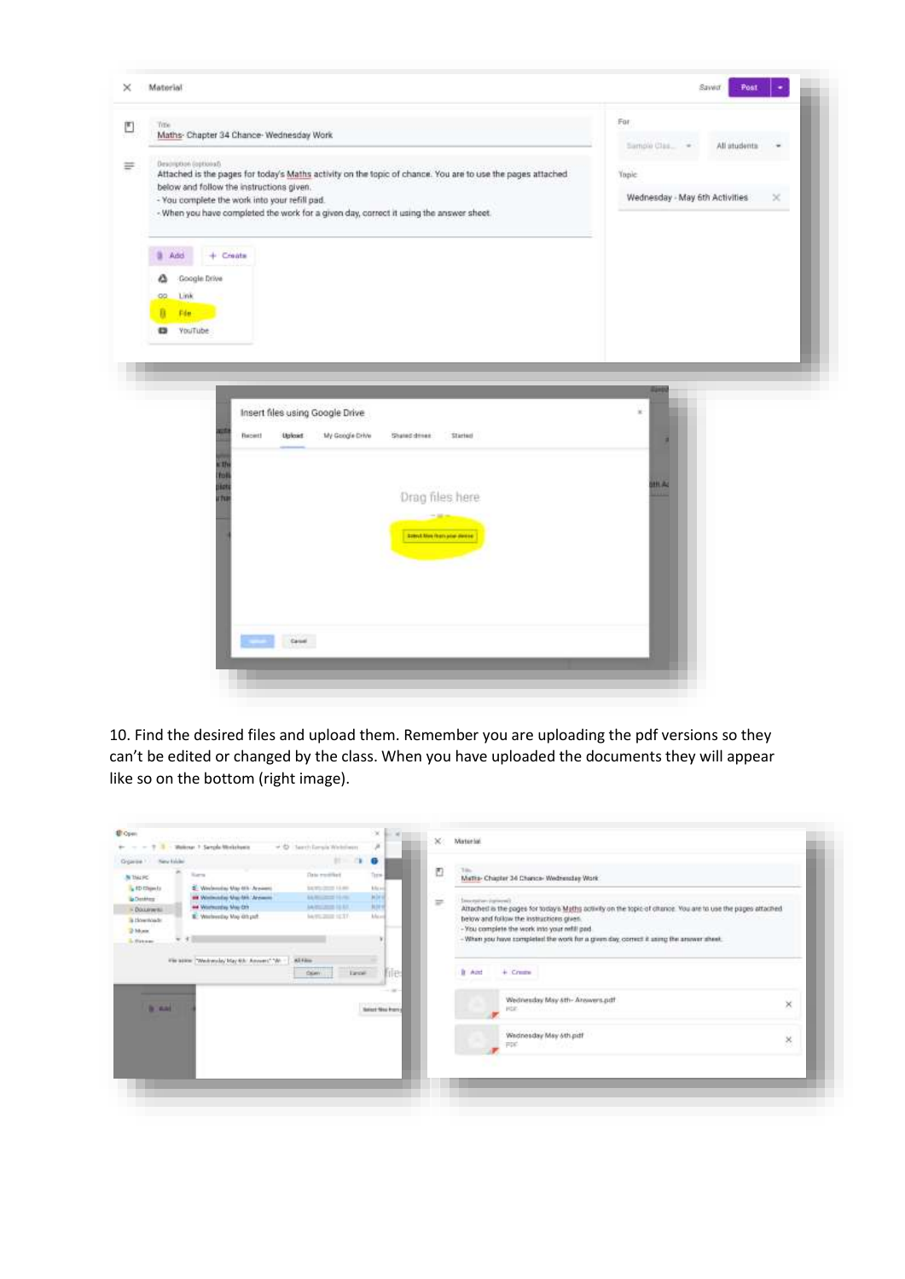

10. Find the desired files and upload them. Remember you are uploading the pdf versions so they can't be edited or changed by the class. When you have uploaded the documents they will appear like so on the bottom (right image).

| Grganite 1 New Editor                                                                                           | $-$ 7 $-$ 1 - Walkesar 7 Sarepla Winkelsein                                                                                                                                                      | + @ Sections's Webberg<br>$11 - 11$                                                                                                         | ×<br>o                                                              |               |                                                                                                                                                                                                                                                                                                                                                                                                                                                                                                         |
|-----------------------------------------------------------------------------------------------------------------|--------------------------------------------------------------------------------------------------------------------------------------------------------------------------------------------------|---------------------------------------------------------------------------------------------------------------------------------------------|---------------------------------------------------------------------|---------------|---------------------------------------------------------------------------------------------------------------------------------------------------------------------------------------------------------------------------------------------------------------------------------------------------------------------------------------------------------------------------------------------------------------------------------------------------------------------------------------------------------|
| <b>N</b> thirds:<br>L to musels<br><b>B</b> Detailer<br>- Document<br>la Howmonde<br>2 Monte<br><b>Littered</b> | <b>Sara</b><br>Nederston Mar 4th Arysent<br>aid Windowship Mac 544 Wynamic<br>and Woorhousting Map Care<br>IE: Westerstay May 4th put<br>$v + 1$<br>File accord "Westmale, May 6th" Amount," Wr- | This residuit<br>3430-2022 14:00<br><b>AARONE FEMAL</b><br>AA MULTIMETER FEE R.F.<br>barrichtet (£37)<br>Al-Film<br><b>Target</b><br>Colema | Turis<br>kits and<br><b>Mirid</b><br><b>JUFF</b><br>Arkens<br>file. | D<br>$\equiv$ | Maths- Chigitar 34 Chance- Wednesday Work<br>Importance (spinyel).<br>Attached is the pages for today's Maths activity on the topic of chance. You are to use the pages attached.<br>below and follow the instructions given.<br>- You complete the work into your nefill pad.<br>- When you have completed the work for a given day, correct it asing the answer aheat.<br>1988년 1979년 1989년 1989년 1989년 1989년 1989년 1989년 1989년 1989년 1989년 1989년 1989년 1989년 1989년 1989년 198<br>It And<br>$+$ Create |
| <b>B</b> AM                                                                                                     |                                                                                                                                                                                                  |                                                                                                                                             | $\cdots$<br><b>Salest Nea French</b>                                |               | Wednesday May 4th- Answers.pdf<br>×<br>page.<br>and a series of the company of the<br>Wednesday May 6th pdf<br>×<br>PRE<br><b>STATE</b>                                                                                                                                                                                                                                                                                                                                                                 |